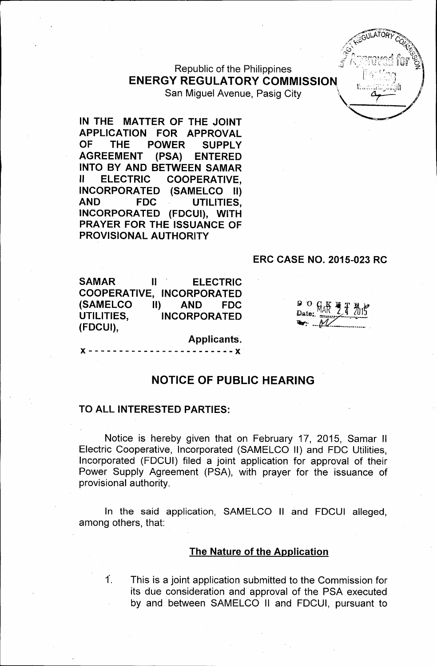Republic of the Philippines ENERGY REGULATORY COMMISSION San Miguel Avenue, Pasig City

IN THE MATTER OF THE JOINT APPLICATION FOR APPROVAL OF THE POWER SUPPLY AGREEMENT (PSA) ENTERED INTO BY AND BETWEEN SAMAR II ELECTRIC COOPERATIVE, INCORPORATED (SAMELCO II) AND FDC UTILITIES, INCORPORATED (FDCUI), WITH PRAYER FOR THE ISSUANCE OF PROVISloNAL AUTHORITY

#### ERC CASE NO. 2015-023 RC

SAMAR II ELECTRIC COOPERATIVE, INCORPORATED (SAMELCO II) AND FDC UTILITIES, INCORPORATED (FDCUI),

90

#### NOTICE OF PUBLIC HEARING

Applicants.  $\cdot$  - - - -  $\times$ 

#### TO ALL INTERESTED PARTIES:

Notice is hereby given that on February 17, 2015, Samar II Electric Cooperative, Incorporated (SAMELCO II) and FOC Utilities, Incorporated (FOCUI) filed a joint application for approval of their Power Supply Agreement (PSA), with prayer for the issuance of provisional authority.

In the said application, SAMELCO II and FDCUI alleged, among others, that:

#### The Nature of the Application

 $\dot{\mathsf{T}}$ . This is a joint application submitted to the Commission for its due consideration and approval of the PSA executed by and between SAMELCO II and FOCUI, pursuant to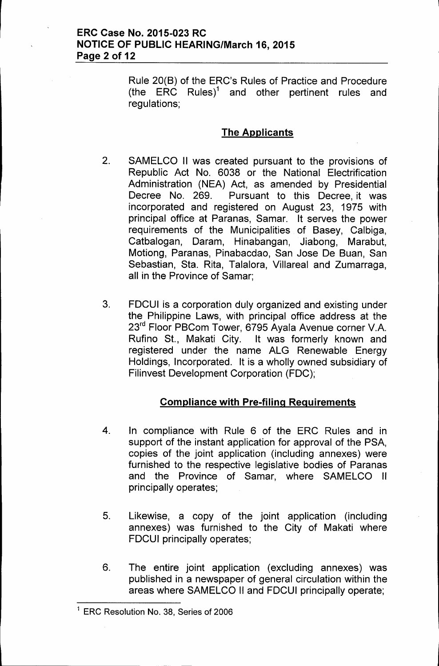Rule 20(B) of the ERC's Rules of Practice and Procedure (the ERC Rules)<sup>1</sup> and other pertinent rules and regulations:

## The Applicants

- 2. SAMELCO II was created pursuant to the provisions of Republic Act No. 6038 or the National Electrification Administration (NEA) Act, as amended by Presidential Decree No. 269. Pursuant to this Decree, it was incorporated and registered on August 23, 1975 with principal office at Paranas, Samar. It serves the power requirements of the Municipalities of Basey, Calbiga, Catbalogan, Daram, Hinabangan, Jiabong, Marabut, Motiong, Paranas, Pinabacdao, San Jose De Buan, San Sebastian, Sta. Rita, Talalora, Villareal and Zumarraga, all in the Province of Samar;
- 3. FDCUI is a corporation duly organized and existing under the Philippine Laws, with principal office address at the 23<sup>rd</sup> Floor PBCom Tower, 6795 Ayala Avenue corner V.A. Rufino St., Makati City. It was formerly known and registered under the name ALG Renewable Energy Holdings, Incorporated. It is a wholly owned subsidiary of Filinvest Development Corporation (FDC);

# Compliance with Pre-filing Requirements

- 4. In compliance with Rule 6 of the ERC Rules and in support of the instant application for approval of the PSA, copies of the joint application (including annexes) were furnished to the respective legislative bodies of Paranas and the Province of Samar, where SAMELCO II principally operates;
- 5. Likewise, a copy of the joint application (including annexes) was furnished to the City of Makati where FDCUI principally operates;
- 6. The entire joint application (excluding annexes) was published in a newspaper of general circulation within the areas where SAMELCO II and FDCUI principally operate;

<sup>&</sup>lt;sup>1</sup> ERC Resolution No. 38, Series of 2006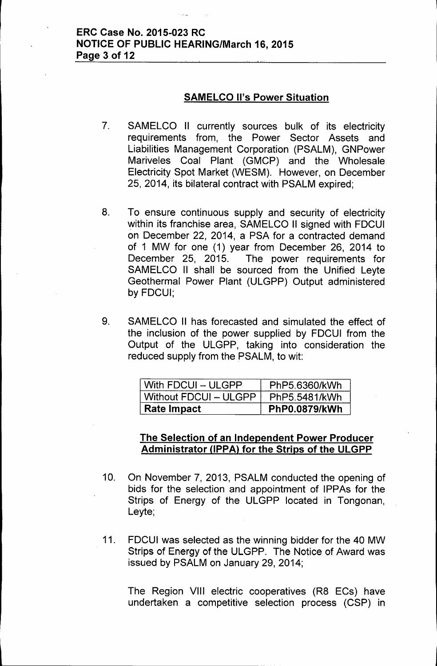### **SAMELCO II's Power Situation**

- 7. SAMELCO II currently sources bulk of its electricity requirements from, the Power Sector Assets and Liabilities Management Corporation (PSALM), GNPower Mariveles Coal Plant (GMCP) and the Wholesale Electricity Spot Market (WESM). However, on December 25, 2014, its bilateral contract with PSALM expired;
- 8. To ensure continuous supply and security of electricity within its franchise area, SAMELCO II signed with FDCUI on December 22, 2014, a PSA for a contracted demand of 1 MW for one (1) year from December 26, 2014 to December 25, 2015. The power requirements for SAMELCO II shall be sourced from the Unified Leyte Geothermal Power Plant (ULGPP) Output administered by FDCUI;
- 9. SAMELCO II has forecasted and simulated the effect of the inclusion of the power supplied by FDCUI from the Output of the ULGPP, taking into consideration the reduced supply from the PSALM, to wit:

| With $FDCUI - ULGPP$  | PhP5.6360/kWh        |
|-----------------------|----------------------|
| Without FDCUI - ULGPP | PhP5.5481/kWh        |
| <b>Rate Impact</b>    | <b>PhP0.0879/kWh</b> |

## **The Selection of an Independent Power Producer Administrator UPPAl for the Strips of the ULGPP**

- 10. On November 7, 2013, PSALM conducted the opening of bids for the selection and appointment of IPPAs for the Strips of Energy of the ULGPP located in Tongonan, Leyte;
- 11. FDCUI was selected as the winning bidder for the 40 MW Strips of Energy of the ULGPP. The Notice of Award was issued by PSALM on January 29,2014;

The Region VIII electric cooperatives (R8 ECs) have undertaken a competitive selection process (CSP) in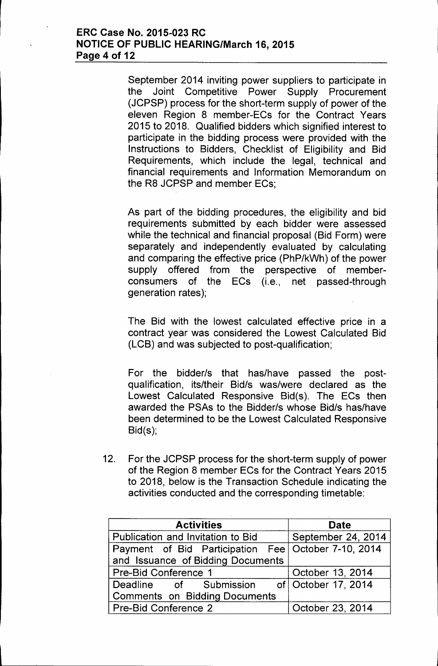## **ERC Case No. 2015-023 RC NOTICE OF PUBLIC HEARING/March 16, 2015 Page 4 of 12**

September 2014 inviting power suppliers to participate in the Joint Competitive Power Supply Procurement (JCPSP) process for the short-term supply of power of the eleven Region 8 member-ECs for the Contract Years 2015 to 2018. Qualified bidders which signified interest to participate in the bidding process were provided with the Instructions to Bidders, Checklist of Eligibility and Bid Requirements, which include the legal, technical and financial requirements and Information Memorandum on the R8 JCPSP and member ECs;

As part of the bidding procedures, the eligibility and bid requirements submitted by each bidder were assessed while the technical and financial proposal (Bid Form) were separately and independently evaluated by calculating and comparing the effective price (PhP/kWh) of the power supply offered from the perspective of memberconsumers of the ECs (i.e., net passed-through generation rates);

The Bid with the lowest calculated effective price in a contract year was considered the Lowest Calculated Bid (LCB) and was subjected to post-qualification;

For the bidder/s that has/have passed the postqualification, its/their Bid/s was/were declared as the Lowest Calculated Responsive Bid(s). The ECs then awarded the PSAs to the Bidder/s whose Bid/s has/have been determined to be the Lowest Calculated Responsive Bid(s);

12. For the JCPSP process for the short-term supply of power of the Region 8 member ECs for the Contract Years 2015 to 2018, below is the Transaction Schedule indicating the activities conducted and the corresponding timetable:

| <b>Activities</b>                                   | <b>Date</b>        |
|-----------------------------------------------------|--------------------|
| Publication and Invitation to Bid                   | September 24, 2014 |
| Payment of Bid Participation Fee October 7-10, 2014 |                    |
| and Issuance of Bidding Documents                   |                    |
| <b>Pre-Bid Conference 1</b>                         | October 13, 2014   |
| Deadline of Submission of October 17, 2014          |                    |
| <b>Comments on Bidding Documents</b>                |                    |
| <b>Pre-Bid Conference 2</b>                         | October 23, 2014   |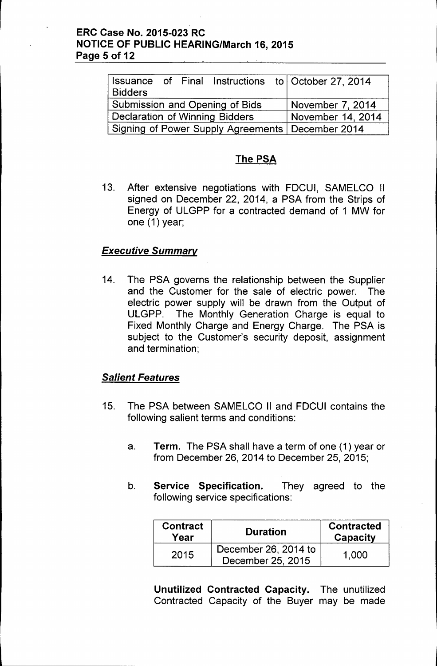## ERC Case No. 2015-023 RC NOTICE OF PUBLIC HEARING/March 16, 2015 Page 5 of 12

| <b>Bidders</b>                                     |  |  |  |                  | Issuance of Final Instructions to October 27, 2014 |
|----------------------------------------------------|--|--|--|------------------|----------------------------------------------------|
| Submission and Opening of Bids                     |  |  |  | November 7, 2014 |                                                    |
| Declaration of Winning Bidders                     |  |  |  |                  | November 14, 2014                                  |
| Signing of Power Supply Agreements   December 2014 |  |  |  |                  |                                                    |

# The PSA

13. After extensive negotiations with FDCUI, SAMELCO II signed on December 22, 2014, a PSA from the Strips of Energy of ULGPP for a contracted demand of 1 MW for one (1) year;

# *Executive Summary*

14. The PSA governs the relationship between the Supplier and the Customer for the sale of electric power. The electric power supply will be drawn from the Output of ULGPP. The Monthly Generation Charge is equal to Fixed Monthly Charge and Energy Charge. The PSA is subject to the Customer's security deposit, assignment and termination;

# *Salient Features*

- 15. The PSA between SAMELCO II and FDCUI contains the following salient terms and conditions:
	- a. Term. The PSA shall have a term of one (1) year or from December 26, 2014 to December 25, 2015;
	- b. Service Specification. They agreed to the following service specifications:

| <b>Contract</b><br>Year | <b>Duration</b>                           | <b>Contracted</b><br>Capacity |
|-------------------------|-------------------------------------------|-------------------------------|
| 2015                    | December 26, 2014 to<br>December 25, 2015 | 1.000                         |

Unutilized Contracted Capacity. The unutilized Contracted Capacity of the Buyer may be made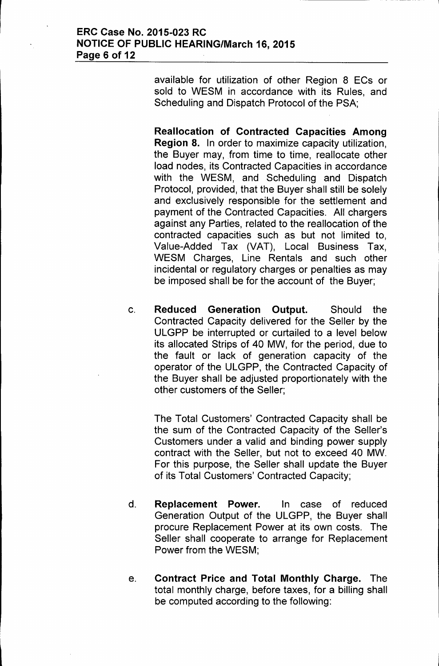available for utilization of other Region 8 ECs or sold to WESM in accordance with its Rules, and Scheduling and Dispatch Protocol of the PSA;

Reallocation of Contracted Capacities Among Region 8. In order to maximize capacity utilization, the Buyer may, from time to time, reallocate other load nodes, its Contracted Capacities in accordance with the WESM, and Scheduling and Dispatch Protocol, provided, that the Buyer shall still be solely and exclusively responsible for the settlement and payment of the Contracted Capacities. All chargers against any Parties, related to the reallocation of the contracted capacities such as but not limited to, Value-Added Tax (VAT), Local Business Tax, WESM Charges, Line Rentals and such other incidental or regulatory charges or penalties as may be imposed shall be for the account of the Buyer;

c. Reduced Generation Output. Should the Contracted Capacity delivered for the Seller by the ULGPP be interrupted or curtailed to a level below its allocated Strips of 40 MW, for the period, due to the fault or lack of generation capacity of the operator of the ULGPP, the Contracted Capacity of the Buyer shall be adjusted proportionately with the other customers of the Seller;

The Total Customers' Contracted Capacity shall be the sum of the Contracted Capacity of the Seller's Customers under a valid and binding power supply contract with the Seller, but not to exceed 40 MW. For this purpose, the Seller shall update the Buyer of its Total Customers' Contracted Capacity;

- d. Replacement Power. In case of reduced Generation Output of the ULGPP, the Buyer shall procure Replacement Power at its own costs. The Seller shall cooperate to arrange for Replacement Power from the WESM;
- e. Contract Price and Total Monthly Charge. The total monthly charge, before taxes, for a billing shall be computed according to the following: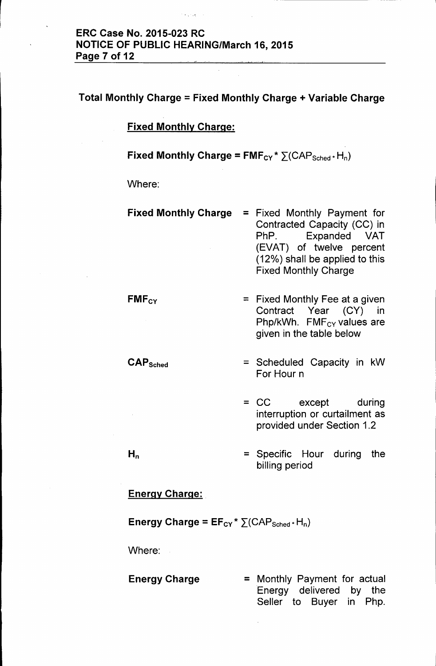## ERC Case No. 2015-023 RC NOTICE OF PUBLIC HEARING/March 16, 2015 Page 7 of 12

# Total Monthly Charge = Fixed Monthly Charge + Variable Charge

#### Fixed Monthly Charge:

### Fixed Monthly Charge =  $FMF_{CY} * \sum (CAP_{Sched} * H_n)$

Where:

- Fixed Monthly Charge = Fixed Monthly Payment for Contracted Capacity (CC) in PhP. Expanded VAT (EVAT) of twelve percent (12%) shall be applied to this Fixed Monthly Charge
- **FMFcy** = Fixed Monthly Fee at a given Contract Year (CY) in Php/kWh. FMF<sub>CY</sub> values are given in the table below
	- = Scheduled Capacity in kW For Hour n
	- = CC except during interruption or curtailment as provided under Section 1.2
	- = Specific Hour during the billing period

#### Energy Charge:

#### Energy Charge =  $EF_{CY}$  \*  $\Sigma(CAP_{Sched}$  + H<sub>n</sub>)

Where:

CAPSched

 $H_n$ 

#### **Energy Charge**  $=$  Monthly Payment for actual Energy delivered by the Seller to Buyer in Php.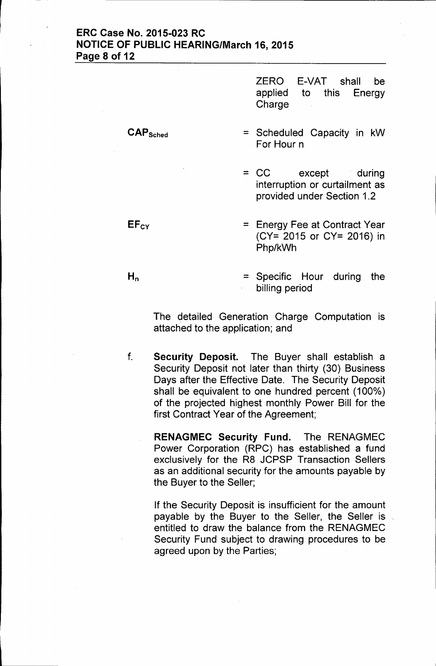## ERC Case No. 2015-023 RC NOTICE OF PUBLIC HEARING/March 16, 2015 Page 8 of 12

ZERO applied **Charge** E-VAT shall be to this Energy

= Scheduled Capacity in kW For Hour n

= CC except during interruption or curtailment as provided under Section 1.2

- = Energy Fee at Contract Year (CY= 2015 or CY= 2016) in Php/kWh
- = Specific Hour during the billing period

The detailed Generation Charge Computation is attached to the application; and

f. Security Deposit. The Buyer shall establish a Security Deposit not later than thirty (30) Business Days after the Effective Date. The Security Deposit shall be equivalent to one hundred percent (100%) of the projected highest monthly Power Bill for the first Contract Year of the Agreement;

> RENAGMEC Security Fund. The RENAGMEC Power Corporation (RPC) has established a fund exclusively for the R8 JCPSP Transaction Sellers as an additional security for the amounts payable by the Buyer to the Seller;

> If the Security Deposit is insufficient for the amount payable by the Buyer to the Seller, the Seller is entitled to draw the balance from the RENAGMEC Security Fund subject to drawing procedures to be agreed upon by the Parties;

 $H_n$ 

 $EF_{CY}$ 

CAPSched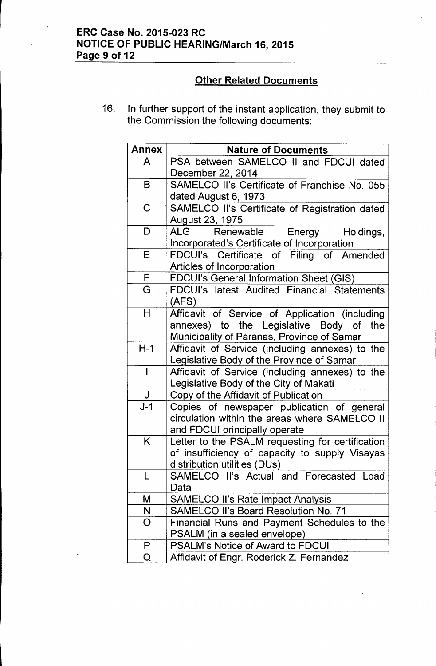# ERC Case No. 2015-023 RC NOTICE OF PUBLIC HEARING/March 16, 2015 Page 9 of 12

# **Other Related Documents**

16. In further support of the instant application, they submit to the Commission the following documents:

|                                                                     | <b>Nature of Documents</b>                                                                                                                                                                                                                                                                                                                                                                                                                                                                                                                                                                                                                                                                                                                                                                                                        |
|---------------------------------------------------------------------|-----------------------------------------------------------------------------------------------------------------------------------------------------------------------------------------------------------------------------------------------------------------------------------------------------------------------------------------------------------------------------------------------------------------------------------------------------------------------------------------------------------------------------------------------------------------------------------------------------------------------------------------------------------------------------------------------------------------------------------------------------------------------------------------------------------------------------------|
| A                                                                   | PSA between SAMELCO II and FDCUI dated                                                                                                                                                                                                                                                                                                                                                                                                                                                                                                                                                                                                                                                                                                                                                                                            |
|                                                                     | December 22, 2014                                                                                                                                                                                                                                                                                                                                                                                                                                                                                                                                                                                                                                                                                                                                                                                                                 |
| B                                                                   | SAMELCO II's Certificate of Franchise No. 055                                                                                                                                                                                                                                                                                                                                                                                                                                                                                                                                                                                                                                                                                                                                                                                     |
|                                                                     | dated August 6, 1973                                                                                                                                                                                                                                                                                                                                                                                                                                                                                                                                                                                                                                                                                                                                                                                                              |
| $\mathsf C$                                                         | SAMELCO II's Certificate of Registration dated                                                                                                                                                                                                                                                                                                                                                                                                                                                                                                                                                                                                                                                                                                                                                                                    |
|                                                                     | August 23, 1975                                                                                                                                                                                                                                                                                                                                                                                                                                                                                                                                                                                                                                                                                                                                                                                                                   |
| D                                                                   | ALG<br>Renewable<br>Energy<br>Holdings,                                                                                                                                                                                                                                                                                                                                                                                                                                                                                                                                                                                                                                                                                                                                                                                           |
|                                                                     | Incorporated's Certificate of Incorporation                                                                                                                                                                                                                                                                                                                                                                                                                                                                                                                                                                                                                                                                                                                                                                                       |
| E                                                                   | FDCUI's Certificate of Filing of Amended                                                                                                                                                                                                                                                                                                                                                                                                                                                                                                                                                                                                                                                                                                                                                                                          |
|                                                                     | Articles of Incorporation                                                                                                                                                                                                                                                                                                                                                                                                                                                                                                                                                                                                                                                                                                                                                                                                         |
|                                                                     |                                                                                                                                                                                                                                                                                                                                                                                                                                                                                                                                                                                                                                                                                                                                                                                                                                   |
| G                                                                   | FDCUI's latest Audited Financial Statements                                                                                                                                                                                                                                                                                                                                                                                                                                                                                                                                                                                                                                                                                                                                                                                       |
|                                                                     |                                                                                                                                                                                                                                                                                                                                                                                                                                                                                                                                                                                                                                                                                                                                                                                                                                   |
|                                                                     | Affidavit of Service of Application (including                                                                                                                                                                                                                                                                                                                                                                                                                                                                                                                                                                                                                                                                                                                                                                                    |
|                                                                     | the                                                                                                                                                                                                                                                                                                                                                                                                                                                                                                                                                                                                                                                                                                                                                                                                                               |
|                                                                     |                                                                                                                                                                                                                                                                                                                                                                                                                                                                                                                                                                                                                                                                                                                                                                                                                                   |
|                                                                     | Affidavit of Service (including annexes) to the                                                                                                                                                                                                                                                                                                                                                                                                                                                                                                                                                                                                                                                                                                                                                                                   |
|                                                                     |                                                                                                                                                                                                                                                                                                                                                                                                                                                                                                                                                                                                                                                                                                                                                                                                                                   |
|                                                                     |                                                                                                                                                                                                                                                                                                                                                                                                                                                                                                                                                                                                                                                                                                                                                                                                                                   |
|                                                                     |                                                                                                                                                                                                                                                                                                                                                                                                                                                                                                                                                                                                                                                                                                                                                                                                                                   |
|                                                                     |                                                                                                                                                                                                                                                                                                                                                                                                                                                                                                                                                                                                                                                                                                                                                                                                                                   |
|                                                                     |                                                                                                                                                                                                                                                                                                                                                                                                                                                                                                                                                                                                                                                                                                                                                                                                                                   |
|                                                                     |                                                                                                                                                                                                                                                                                                                                                                                                                                                                                                                                                                                                                                                                                                                                                                                                                                   |
|                                                                     |                                                                                                                                                                                                                                                                                                                                                                                                                                                                                                                                                                                                                                                                                                                                                                                                                                   |
|                                                                     |                                                                                                                                                                                                                                                                                                                                                                                                                                                                                                                                                                                                                                                                                                                                                                                                                                   |
|                                                                     |                                                                                                                                                                                                                                                                                                                                                                                                                                                                                                                                                                                                                                                                                                                                                                                                                                   |
|                                                                     |                                                                                                                                                                                                                                                                                                                                                                                                                                                                                                                                                                                                                                                                                                                                                                                                                                   |
|                                                                     |                                                                                                                                                                                                                                                                                                                                                                                                                                                                                                                                                                                                                                                                                                                                                                                                                                   |
|                                                                     |                                                                                                                                                                                                                                                                                                                                                                                                                                                                                                                                                                                                                                                                                                                                                                                                                                   |
|                                                                     |                                                                                                                                                                                                                                                                                                                                                                                                                                                                                                                                                                                                                                                                                                                                                                                                                                   |
|                                                                     |                                                                                                                                                                                                                                                                                                                                                                                                                                                                                                                                                                                                                                                                                                                                                                                                                                   |
|                                                                     |                                                                                                                                                                                                                                                                                                                                                                                                                                                                                                                                                                                                                                                                                                                                                                                                                                   |
|                                                                     |                                                                                                                                                                                                                                                                                                                                                                                                                                                                                                                                                                                                                                                                                                                                                                                                                                   |
| P                                                                   | <b>PSALM's Notice of Award to FDCUI</b>                                                                                                                                                                                                                                                                                                                                                                                                                                                                                                                                                                                                                                                                                                                                                                                           |
| F<br>Н<br>$H-1$<br>$\overline{1}$<br>J<br>$J-1$<br>K<br>M<br>N<br>O | <b>FDCUI's General Information Sheet (GIS)</b><br>(AFS)<br>annexes) to the Legislative Body of<br>Municipality of Paranas, Province of Samar<br>Legislative Body of the Province of Samar<br>Affidavit of Service (including annexes) to the<br>Legislative Body of the City of Makati<br>Copy of the Affidavit of Publication<br>Copies of newspaper publication of general<br>circulation within the areas where SAMELCO II<br>and FDCUI principally operate<br>Letter to the PSALM requesting for certification<br>of insufficiency of capacity to supply Visayas<br>distribution utilities (DUs)<br>SAMELCO II's Actual and Forecasted Load<br>Data<br><b>SAMELCO II's Rate Impact Analysis</b><br><b>SAMELCO II's Board Resolution No. 71</b><br>Financial Runs and Payment Schedules to the<br>PSALM (in a sealed envelope) |

 $\overline{\phantom{a}}$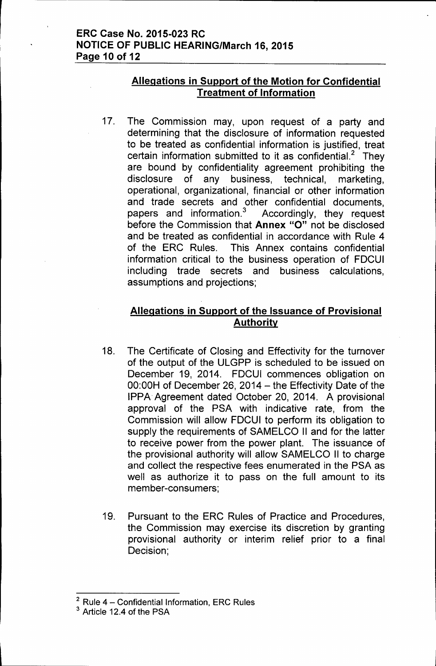# **Allegations in Support of the Motion for Confidential Treatment of Information**

17. The Commission may, upon request of a party and determining that the disclosure of information requested to be treated as confidential information is justified, treat certain information submitted to it as confidential.<sup>2</sup> They are bound by confidentiality agreement prohibiting the disclosure of any business, technical, marketing, operational, organizational, financial or other information and trade secrets and other confidential documents, papers and information. $3$  Accordingly, they request before the Commission that **Annex** "0" not be disclosed and be treated as confidential in accordance with Rule 4 of the ERC Rules. This Annex contains confidential information critical to the business operation of FDCUI including trade secrets and business calculations, assumptions and projections;

# **Allegations in Support of the Issuance of Provisional Authority**

- 18. The Certificate of Closing and Effectivity for the turnover of the output of the ULGPP is scheduled to be issued on December 19, 2014. FDCUI commences obligation on  $00:00H$  of December 26, 2014 - the Effectivity Date of the IPPA Agreement dated October 20, 2014. A provisional approval of the PSA with indicative rate, from the Commission will allow FDCUI to perform its obligation to supply the requirements of SAMELCO II and for the latter to receive power from the power plant. The issuance of the provisional authority will allow SAMELCO II to charge and collect the respective fees enumerated in the PSA as well as authorize it to pass on the full amount to its member-consumers;
- 19. Pursuant to the ERC Rules of Practice and Procedures, the Commission may exercise its discretion by granting provisional authority or interim relief prior to a final Decision;

 $2$  Rule 4 - Confidential Information, ERC Rules

<sup>3</sup> Article 12.4 of the PSA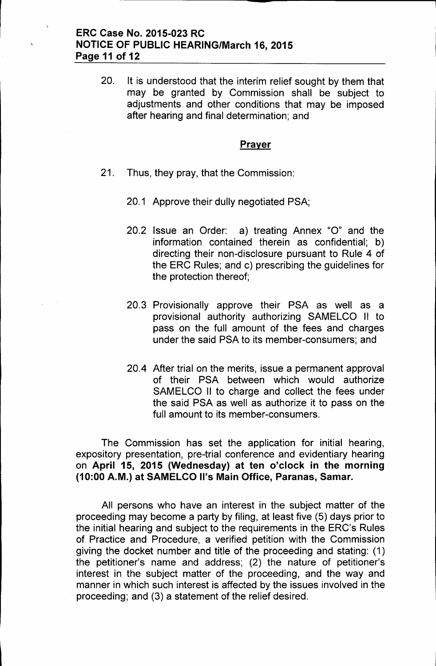20. It is understood that the interim relief sought by them that may be granted by Commission shall be subject to adjustments and other conditions that may be imposed after hearing and final determination; and

#### **Prayer**

- 21. Thus, they pray, that the Commission:
	- 20.1 Approve their dully negotiated PSA;
	- 20.2 Issue an Order: a) treating Annex "0" and the information contained therein as confidential; b) directing their non-disclosure pursuant to Rule 4 of the ERC Rules; and c) prescribing the guidelines for the protection thereof;
	- 20.3 Provisionally approve their PSA as well as a provisional authority authorizing SAMELCO II to pass on the full amount of the fees and charges under the said PSA to its member-consumers; and
	- 20.4 After trial on the merits, issue a permanent approval of their PSA between which would authorize SAMELCO II to charge and collect the fees under the said PSA as well as authorize it to pass on the full amount to its member-consumers.

The Commission has set the application for initial hearing, expository presentation, pre-trial conference and evidentiary hearing on April 15, 2015 (Wednesday) at ten o'clock in the morning (10:00 A.M.) at SAMELCO II's Main Office, Paranas, Samar.

All persons who have an interest in the subject matter of the proceeding may become a party by filing, at least five (5) days prior to the initial hearing and subject to the requirements in the ERC's Rules of Practice and Procedure, a verified petition with the Commission giving the docket number and title of the proceeding and stating: (1) the petitioner's name and address; (2) the nature of petitioner's interest in the subject matter of the proceeding, and the way and manner in which such interest is affected by the issues involved in the proceeding; and (3) a statement of the relief desired.